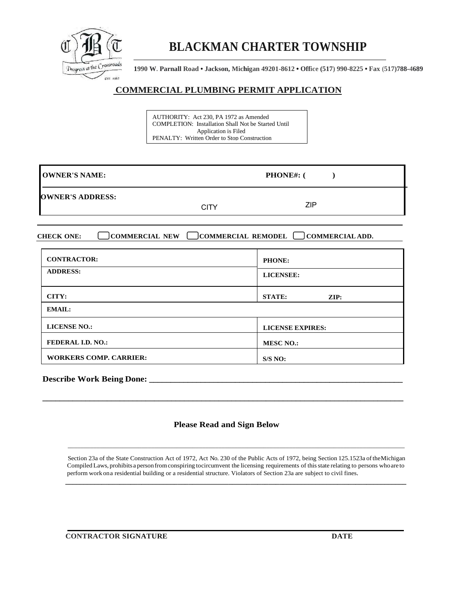

## **BLACKMAN CHARTER TOWNSHIP**

**1990 W. Parnall Road • Jackson, Michigan 49201-8612 • Office (517) 990-8225 • Fax (517)788-4689**

## **COMMERCIAL PLUMBING PERMIT APPLICATION**

AUTHORITY: Act 230, PA 1972 as Amended COMPLETION: Installation Shall Not be Started Until Application is Filed PENALTY: Written Order to Stop Construction

| <b>OWNER'S NAME:</b>    | <b>PHONE#:</b> ( |     |  |
|-------------------------|------------------|-----|--|
| <b>OWNER'S ADDRESS:</b> | <b>CITY</b>      | ZIP |  |
|                         |                  |     |  |

**CHECK ONE: COMMERCIAL NEW COMMERCIAL REMODEL COMMERCIAL ADD.**

| <b>CONTRACTOR:</b>            | <b>PHONE:</b>                    |  |  |
|-------------------------------|----------------------------------|--|--|
| <b>ADDRESS:</b>               | <b>LICENSEE:</b>                 |  |  |
| CITY:                         | <b>STATE:</b><br>$\mathbf{ZIP:}$ |  |  |
| <b>EMAIL:</b>                 |                                  |  |  |
| <b>LICENSE NO.:</b>           | <b>LICENSE EXPIRES:</b>          |  |  |
| <b>FEDERAL I.D. NO.:</b>      | <b>MESC NO.:</b>                 |  |  |
| <b>WORKERS COMP. CARRIER:</b> | S/S NO:                          |  |  |

**Describe Work Being Done: \_\_\_\_\_\_\_\_\_\_\_\_\_\_\_\_\_\_\_\_\_\_\_\_\_\_\_\_\_\_\_\_\_\_\_\_\_\_\_\_\_\_\_\_\_\_\_\_\_\_\_\_\_\_\_\_\_\_\_**

## **Please Read and Sign Below**

\_\_\_\_\_\_\_\_\_\_\_\_\_\_\_\_\_\_\_\_\_\_\_\_\_\_\_\_\_\_\_\_\_\_\_\_\_\_\_\_\_\_\_\_\_\_\_\_\_\_\_\_\_\_\_\_\_\_\_\_\_\_\_\_\_\_\_\_\_\_\_\_\_\_\_\_\_\_\_\_\_\_\_\_\_\_\_\_\_\_\_\_\_\_\_\_\_\_\_\_\_\_\_\_\_

 **\_\_\_\_\_\_\_\_\_\_\_\_\_\_\_\_\_\_\_\_\_\_\_\_\_\_\_\_\_\_\_\_\_\_\_\_\_\_\_\_\_\_\_\_\_\_\_\_\_\_\_\_\_\_\_\_\_\_\_\_\_\_\_\_\_\_\_\_\_\_\_\_\_\_\_\_\_\_\_\_\_\_\_\_\_\_\_\_\_\_\_\_\_\_**

**\_\_\_\_\_\_\_\_\_\_\_\_\_\_\_\_\_\_\_\_\_\_\_\_\_\_\_\_\_\_\_\_\_\_\_\_\_\_\_\_\_\_\_\_\_\_\_\_\_\_\_\_\_\_\_\_\_\_\_\_\_\_\_\_\_\_\_\_\_\_\_\_\_\_\_\_\_\_\_\_\_\_\_\_**

 Section 23a of the State Construction Act of 1972, Act No. 230 of the Public Acts of 1972, being Section 125.1523a oftheMichigan Compiled Laws, prohibitsa personfromconspiring tocircumvent the licensing requirements of thisstate relating to persons whoare to perform work ona residential building or a residential structure. Violators of Section 23a are subject to civil fines.

**CONTRACTOR SIGNATURE DATE**